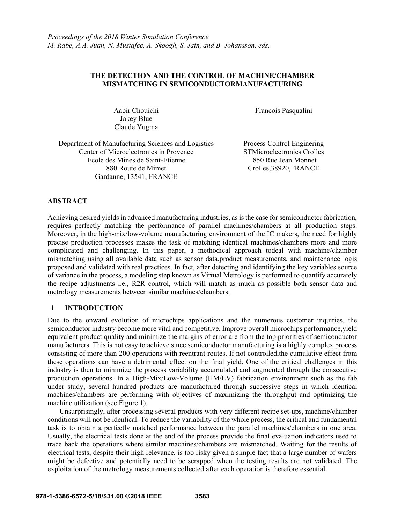# **THE DETECTION AND THE CONTROL OF MACHINE/CHAMBER MISMATCHING IN SEMICONDUCTORMANUFACTURING**

Aabir Chouichi Jakey Blue Claude Yugma

Francois Pasqualini

Department of Manufacturing Sciences and Logistics Center of Microelectronics in Provence Ecole des Mines de Saint-Etienne 880 Route de Mimet Gardanne, 13541, FRANCE

Process Control Enginering STMicroelectronics Crolles 850 Rue Jean Monnet Crolles,38920,FRANCE

### **ABSTRACT**

Achieving desired yields in advanced manufacturing industries, as is the case for semiconductor fabrication, requires perfectly matching the performance of parallel machines/chambers at all production steps. Moreover, in the high-mix/low-volume manufacturing environment of the IC makers, the need for highly precise production processes makes the task of matching identical machines/chambers more and more complicated and challenging. In this paper, a methodical approach todeal with machine/chamber mismatching using all available data such as sensor data,product measurements, and maintenance logis proposed and validated with real practices. In fact, after detecting and identifying the key variables source of variance in the process, a modeling step known as Virtual Metrology is performed to quantify accurately the recipe adjustments i.e., R2R control, which will match as much as possible both sensor data and metrology measurements between similar machines/chambers.

# **1 INTRODUCTION**

Due to the onward evolution of microchips applications and the numerous customer inquiries, the semiconductor industry become more vital and competitive. Improve overall microchips performance,yield equivalent product quality and minimize the margins of error are from the top priorities of semiconductor manufacturers. This is not easy to achieve since semiconductor manufacturing is a highly complex process consisting of more than 200 operations with reentrant routes. If not controlled,the cumulative effect from these operations can have a detrimental effect on the final yield. One of the critical challenges in this industry is then to minimize the process variability accumulated and augmented through the consecutive production operations. In a High-Mix/Low-Volume (HM/LV) fabrication environment such as the fab under study, several hundred products are manufactured through successive steps in which identical machines/chambers are performing with objectives of maximizing the throughput and optimizing the machine utilization (see Figure 1).

Unsurprisingly, after processing several products with very different recipe set-ups, machine/chamber conditions will not be identical. To reduce the variability of the whole process, the critical and fundamental task is to obtain a perfectly matched performance between the parallel machines/chambers in one area. Usually, the electrical tests done at the end of the process provide the final evaluation indicators used to trace back the operations where similar machines/chambers are mismatched. Waiting for the results of electrical tests, despite their high relevance, is too risky given a simple fact that a large number of wafers might be defective and potentially need to be scrapped when the testing results are not validated. The exploitation of the metrology measurements collected after each operation is therefore essential.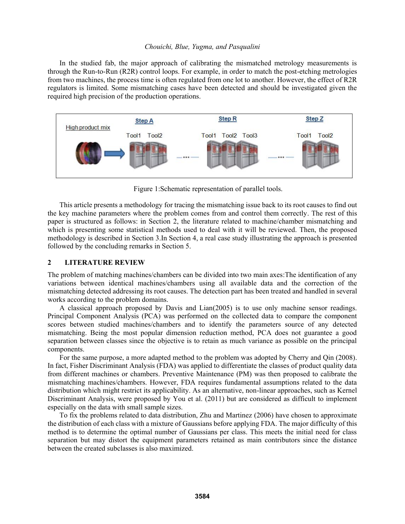In the studied fab, the major approach of calibrating the mismatched metrology measurements is through the Run-to-Run (R2R) control loops. For example, in order to match the post-etching metrologies from two machines, the process time is often regulated from one lot to another. However, the effect of R2R regulators is limited. Some mismatching cases have been detected and should be investigated given the required high precision of the production operations.



Figure 1:Schematic representation of parallel tools.

This article presents a methodology for tracing the mismatching issue back to its root causes to find out the key machine parameters where the problem comes from and control them correctly. The rest of this paper is structured as follows: in Section 2, the literature related to machine/chamber mismatching and which is presenting some statistical methods used to deal with it will be reviewed. Then, the proposed methodology is described in Section 3.In Section 4, a real case study illustrating the approach is presented followed by the concluding remarks in Section 5.

### **2 LITERATURE REVIEW**

The problem of matching machines/chambers can be divided into two main axes:The identification of any variations between identical machines/chambers using all available data and the correction of the mismatching detected addressing its root causes. The detection part has been treated and handled in several works according to the problem domains.

A classical approach proposed by Davis and Lian(2005) is to use only machine sensor readings. Principal Component Analysis (PCA) was performed on the collected data to compare the component scores between studied machines/chambers and to identify the parameters source of any detected mismatching. Being the most popular dimension reduction method, PCA does not guarantee a good separation between classes since the objective is to retain as much variance as possible on the principal components.

For the same purpose, a more adapted method to the problem was adopted by Cherry and Qin (2008). In fact, Fisher Discriminant Analysis (FDA) was applied to differentiate the classes of product quality data from different machines or chambers. Preventive Maintenance (PM) was then proposed to calibrate the mismatching machines/chambers. However, FDA requires fundamental assumptions related to the data distribution which might restrict its applicability. As an alternative, non-linear approaches, such as Kernel Discriminant Analysis, were proposed by You et al. (2011) but are considered as difficult to implement especially on the data with small sample sizes.

To fix the problems related to data distribution, Zhu and Martinez (2006) have chosen to approximate the distribution of each class with a mixture of Gaussians before applying FDA. The major difficulty of this method is to determine the optimal number of Gaussians per class. This meets the initial need for class separation but may distort the equipment parameters retained as main contributors since the distance between the created subclasses is also maximized.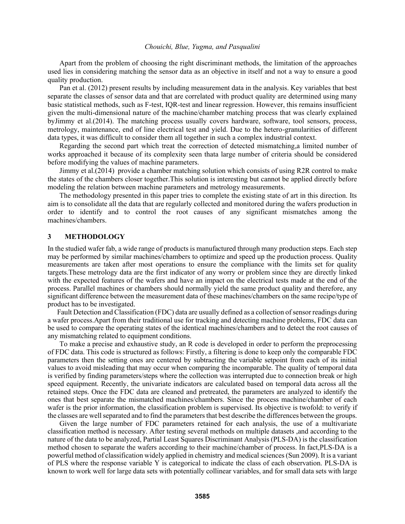Apart from the problem of choosing the right discriminant methods, the limitation of the approaches used lies in considering matching the sensor data as an objective in itself and not a way to ensure a good quality production.

Pan et al. (2012) present results by including measurement data in the analysis. Key variables that best separate the classes of sensor data and that are correlated with product quality are determined using many basic statistical methods, such as F-test, IQR-test and linear regression. However, this remains insufficient given the multi-dimensional nature of the machine/chamber matching process that was clearly explained byJimmy et al.(2014). The matching process usually covers hardware, software, tool sensors, process, metrology, maintenance, end of line electrical test and yield. Due to the hetero-granularities of different data types, it was difficult to consider them all together in such a complex industrial context.

Regarding the second part which treat the correction of detected mismatching,a limited number of works approached it because of its complexity seen thata large number of criteria should be considered before modifying the values of machine parameters.

Jimmy et al.(2014) provide a chamber matching solution which consists of using R2R control to make the states of the chambers closer together.This solution is interesting but cannot be applied directly before modeling the relation between machine parameters and metrology measurements.

The methodology presented in this paper tries to complete the existing state of art in this direction. Its aim is to consolidate all the data that are regularly collected and monitored during the wafers production in order to identify and to control the root causes of any significant mismatches among the machines/chambers.

### **3 METHODOLOGY**

In the studied wafer fab, a wide range of products is manufactured through many production steps. Each step may be performed by similar machines/chambers to optimize and speed up the production process. Quality measurements are taken after most operations to ensure the compliance with the limits set for quality targets.These metrology data are the first indicator of any worry or problem since they are directly linked with the expected features of the wafers and have an impact on the electrical tests made at the end of the process. Parallel machines or chambers should normally yield the same product quality and therefore, any significant difference between the measurement data of these machines/chambers on the same recipe/type of product has to be investigated.

Fault Detection and Classification (FDC) data are usually defined as a collection of sensor readings during a wafer process.Apart from their traditional use for tracking and detecting machine problems, FDC data can be used to compare the operating states of the identical machines/chambers and to detect the root causes of any mismatching related to equipment conditions.

To make a precise and exhaustive study, an R code is developed in order to perform the preprocessing of FDC data. This code is structured as follows: Firstly, a filtering is done to keep only the comparable FDC parameters then the setting ones are centered by subtracting the variable setpoint from each of its initial values to avoid misleading that may occur when comparing the incomparable. The quality of temporal data is verified by finding parameters/steps where the collection was interrupted due to connection break or high speed equipment. Recently, the univariate indicators are calculated based on temporal data across all the retained steps. Once the FDC data are cleaned and pretreated, the parameters are analyzed to identify the ones that best separate the mismatched machines/chambers. Since the process machine/chamber of each wafer is the prior information, the classification problem is supervised. Its objective is twofold: to verify if the classes are well separated and to find the parameters that best describe the differences between the groups.

Given the large number of FDC parameters retained for each analysis, the use of a multivariate classification method is necessary. After testing several methods on multiple datasets ,and according to the nature of the data to be analyzed, Partial Least Squares Discriminant Analysis (PLS-DA) is the classification method chosen to separate the wafers according to their machine/chamber of process. In fact,PLS-DA is a powerful method of classification widely applied in chemistry and medical sciences (Sun 2009). It is a variant of PLS where the response variable Y is categorical to indicate the class of each observation. PLS-DA is known to work well for large data sets with potentially collinear variables, and for small data sets with large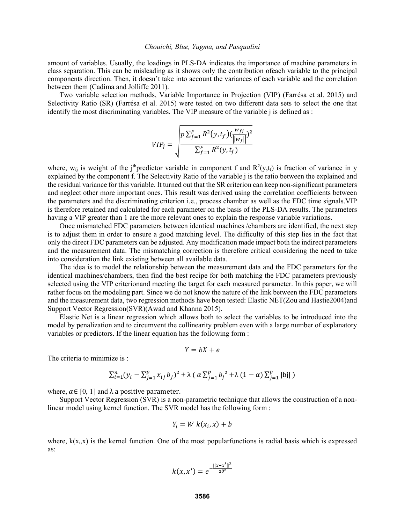amount of variables. Usually, the loadings in PLS-DA indicates the importance of machine parameters in class separation. This can be misleading as it shows only the contribution ofeach variable to the principal components direction. Then, it doesn't take into account the variances of each variable and the correlation between them (Cadima and Jolliffe 2011).

Two variable selection methods, Variable Importance in Projection (VIP) (Farrésa et al. 2015) and Selectivity Ratio (SR) **(**Farrésa et al. 2015) were tested on two different data sets to select the one that identify the most discriminating variables. The VIP measure of the variable j is defined as :

$$
VIP_j = \sqrt{\frac{p \sum_{f=1}^{F} R^2(y, t_f) (\frac{w_{fj}}{||w_f||})^2}{\sum_{f=1}^{F} R^2(y, t_f)}}
$$

where,  $w_{fj}$  is weight of the j<sup>th</sup>predictor variable in component f and  $R^2(y,t_f)$  is fraction of variance in y explained by the component f. The Selectivity Ratio of the variable j is the ratio between the explained and the residual variance for this variable. It turned out that the SR criterion can keep non-significant parameters and neglect other more important ones. This result was derived using the correlation coefficients between the parameters and the discriminating criterion i.e., process chamber as well as the FDC time signals.VIP is therefore retained and calculated for each parameter on the basis of the PLS-DA results. The parameters having a VIP greater than 1 are the more relevant ones to explain the response variable variations.

Once mismatched FDC parameters between identical machines /chambers are identified, the next step is to adjust them in order to ensure a good matching level. The difficulty of this step lies in the fact that only the direct FDC parameters can be adjusted. Any modification made impact both the indirect parameters and the measurement data. The mismatching correction is therefore critical considering the need to take into consideration the link existing between all available data.

The idea is to model the relationship between the measurement data and the FDC parameters for the identical machines/chambers, then find the best recipe for both matching the FDC parameters previously selected using the VIP criterionand meeting the target for each measured parameter. In this paper, we will rather focus on the modeling part. Since we do not know the nature of the link between the FDC parameters and the measurement data, two regression methods have been tested: Elastic NET(Zou and Hastie2004)and Support Vector Regression(SVR)(Awad and Khanna 2015).

Elastic Net is a linear regression which allows both to select the variables to be introduced into the model by penalization and to circumvent the collinearity problem even with a large number of explanatory variables or predictors. If the linear equation has the following form :

$$
Y = bX + e
$$

The criteria to minimize is  $\cdot$ 

$$
\sum_{i=1}^{n} (y_i - \sum_{j=1}^{p} x_{ij} b_j)^2 + \lambda (\alpha \sum_{j=1}^{p} b_j)^2 + \lambda (1 - \alpha) \sum_{j=1}^{p} |b_j|)
$$

where,  $\alpha \in [0, 1]$  and  $\lambda$  a positive parameter.

Support Vector Regression (SVR) is a non-parametric technique that allows the construction of a nonlinear model using kernel function. The SVR model has the following form :

$$
Y_i = W k(x_i, x) + b
$$

where,  $k(x<sub>i</sub>,x)$  is the kernel function. One of the most popularfunctions is radial basis which is expressed as:

$$
k(x, x') = e^{-\frac{||x - x'||^2}{2\partial^2}}
$$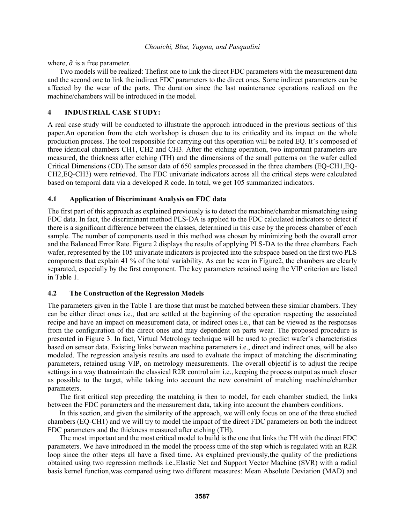where,  $\partial$  is a free parameter.

Two models will be realized: Thefirst one to link the direct FDC parameters with the measurement data and the second one to link the indirect FDC parameters to the direct ones. Some indirect parameters can be affected by the wear of the parts. The duration since the last maintenance operations realized on the machine/chambers will be introduced in the model

# **4 INDUSTRIAL CASE STUDY:**

A real case study will be conducted to illustrate the approach introduced in the previous sections of this paper.An operation from the etch workshop is chosen due to its criticality and its impact on the whole production process. The tool responsible for carrying out this operation will be noted EQ. It's composed of three identical chambers CH1, CH2 and CH3. After the etching operation, two important parameters are measured, the thickness after etching (TH) and the dimensions of the small patterns on the wafer called Critical Dimensions (CD).The sensor data of 650 samples processed in the three chambers (EQ-CH1,EQ-CH2,EQ-CH3) were retrieved. The FDC univariate indicators across all the critical steps were calculated based on temporal data via a developed R code. In total, we get 105 summarized indicators.

# **4.1 Application of Discriminant Analysis on FDC data**

The first part of this approach as explained previously is to detect the machine/chamber mismatching using FDC data. In fact, the discriminant method PLS-DA is applied to the FDC calculated indicators to detect if there is a significant difference between the classes, determined in this case by the process chamber of each sample. The number of components used in this method was chosen by minimizing both the overall error and the Balanced Error Rate. Figure 2 displays the results of applying PLS-DA to the three chambers. Each wafer, represented by the 105 univariate indicators is projected into the subspace based on the first two PLS components that explain 41 % of the total variability. As can be seen in Figure2, the chambers are clearly separated, especially by the first component. The key parameters retained using the VIP criterion are listed in Table 1.

# **4.2 The Construction of the Regression Models**

The parameters given in the Table 1 are those that must be matched between these similar chambers. They can be either direct ones i.e., that are settled at the beginning of the operation respecting the associated recipe and have an impact on measurement data, or indirect ones i.e., that can be viewed as the responses from the configuration of the direct ones and may dependent on parts wear. The proposed procedure is presented in Figure 3. In fact, Virtual Metrology technique will be used to predict wafer's characteristics based on sensor data. Existing links between machine parameters i.e., direct and indirect ones, will be also modeled. The regression analysis results are used to evaluate the impact of matching the discriminating parameters, retained using VIP, on metrology measurements. The overall objectif is to adjust the recipe settings in a way thatmaintain the classical R2R control aim i.e., keeping the process output as much closer as possible to the target, while taking into account the new constraint of matching machine/chamber parameters.

The first critical step preceding the matching is then to model, for each chamber studied, the links between the FDC parameters and the measurement data, taking into account the chambers conditions.

In this section, and given the similarity of the approach, we will only focus on one of the three studied chambers (EQ-CH1) and we will try to model the impact of the direct FDC parameters on both the indirect FDC parameters and the thickness measured after etching (TH).

The most important and the most critical model to build is the one that links the TH with the direct FDC parameters. We have introduced in the model the process time of the step which is regulated with an R2R loop since the other steps all have a fixed time. As explained previously,the quality of the predictions obtained using two regression methods i.e.,Elastic Net and Support Vector Machine (SVR) with a radial basis kernel function,was compared using two different measures: Mean Absolute Deviation (MAD) and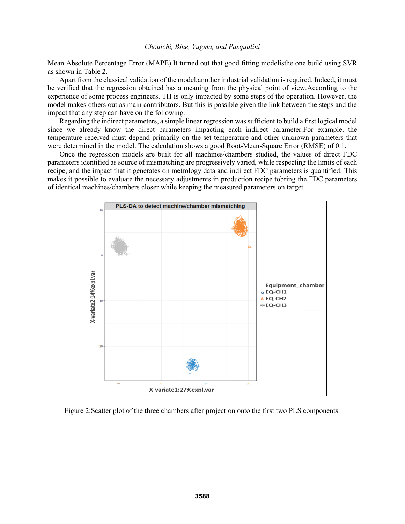Mean Absolute Percentage Error (MAPE).It turned out that good fitting modelisthe one build using SVR as shown in Table 2.

Apart from the classical validation of the model,another industrial validation is required. Indeed, it must be verified that the regression obtained has a meaning from the physical point of view.According to the experience of some process engineers, TH is only impacted by some steps of the operation. However, the model makes others out as main contributors. But this is possible given the link between the steps and the impact that any step can have on the following.

Regarding the indirect parameters, a simple linear regression was sufficient to build a first logical model since we already know the direct parameters impacting each indirect parameter.For example, the temperature received must depend primarily on the set temperature and other unknown parameters that were determined in the model. The calculation shows a good Root-Mean-Square Error (RMSE) of 0.1.

Once the regression models are built for all machines/chambers studied, the values of direct FDC parameters identified as source of mismatching are progressively varied, while respecting the limits of each recipe, and the impact that it generates on metrology data and indirect FDC parameters is quantified. This makes it possible to evaluate the necessary adjustments in production recipe tobring the FDC parameters of identical machines/chambers closer while keeping the measured parameters on target.



Figure 2:Scatter plot of the three chambers after projection onto the first two PLS components.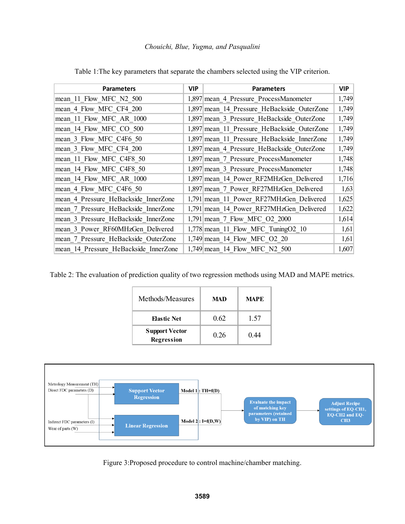| <b>Parameters</b>                     | <b>VIP</b> | <b>Parameters</b>                           | VIP   |
|---------------------------------------|------------|---------------------------------------------|-------|
| mean 11 Flow MFC N2 500               |            | 1,897 mean 4 Pressure ProcessManometer      | 1,749 |
| mean_4_Flow_MFC_CF4_200               |            | 1,897 mean_14_Pressure_HeBackside_OuterZone | 1,749 |
| mean 11 Flow MFC AR 1000              |            | 1,897 mean 3 Pressure HeBackside OuterZone  | 1,749 |
| mean 14 Flow MFC CO 500               |            | 1,897 mean 11 Pressure HeBackside OuterZone |       |
| mean 3 Flow MFC C4F6 50               |            | 1,897 mean 11 Pressure HeBackside InnerZone |       |
| mean 3 Flow MFC CF4 200               |            | 1,897 mean 4 Pressure HeBackside OuterZone  |       |
| mean 11 Flow MFC C4F8 50              |            | 1,897 mean 7 Pressure ProcessManometer      | 1,748 |
| mean 14 Flow MFC C4F8 50              |            | 1,897 mean 3 Pressure ProcessManometer      | 1,748 |
| mean_14_Flow_MFC_AR_1000              |            | 1,897 mean 14 Power RF2MHzGen Delivered     |       |
| mean 4 Flow MFC C4F6 50               |            | 1,897 mean_7_Power_RF27MHzGen Delivered     |       |
| mean 4 Pressure HeBackside InnerZone  |            | 1,791 mean 11 Power RF27MHzGen Delivered    | 1,625 |
| mean 7 Pressure HeBackside InnerZone  |            | 1,791 mean_14_Power_RF27MHzGen_Delivered    | 1,622 |
| mean 3 Pressure HeBackside InnerZone  |            | 1,791 mean_7_Flow_MFC_O2_2000               |       |
| mean 3 Power RF60MHzGen Delivered     |            | 1,778 mean 11 Flow MFC Tuning 02 10         |       |
| mean 7 Pressure HeBackside OuterZone  |            | 1,749 mean_14_Flow_MFC_O2_20                | 1,61  |
| mean 14 Pressure HeBackside InnerZone |            | 1,749 mean 14 Flow MFC N2 500               | 1,607 |

Table 1:The key parameters that separate the chambers selected using the VIP criterion.

Table 2: The evaluation of prediction quality of two regression methods using MAD and MAPE metrics.

| Methods/Measures                    | MAD  | <b>MAPE</b> |
|-------------------------------------|------|-------------|
| <b>Elastic Net</b>                  | 0.62 | 1.57        |
| <b>Support Vector</b><br>Regression | 0.26 | 0.44        |



Figure 3:Proposed procedure to control machine/chamber matching.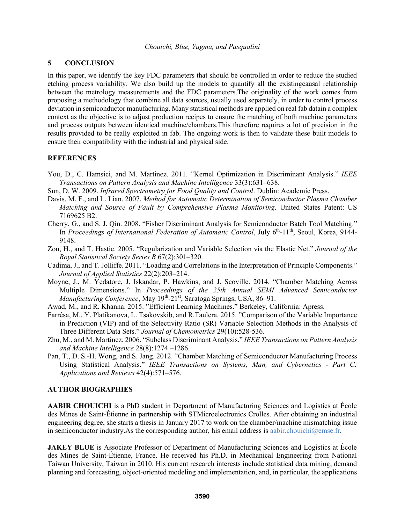### **5 CONCLUSION**

In this paper, we identify the key FDC parameters that should be controlled in order to reduce the studied etching process variability. We also build up the models to quantify all the existingcausal relationship between the metrology measurements and the FDC parameters.The originality of the work comes from proposing a methodology that combine all data sources, usually used separately, in order to control process deviation in semiconductor manufacturing. Many statistical methods are applied on real fab datain a complex context as the objective is to adjust production recipes to ensure the matching of both machine parameters and process outputs between identical machine/chambers.This therefore requires a lot of precision in the results provided to be really exploited in fab. The ongoing work is then to validate these built models to ensure their compatibility with the industrial and physical side.

# **REFERENCES**

- You, D., C. Hamsici, and M. Martinez. 2011. "Kernel Optimization in Discriminant Analysis." *IEEE Transactions on Pattern Analysis and Machine Intelligence* 33(3):631–638.
- Sun, D. W. 2009. *Infrared Spectrometry for Food Quality and Control*. Dublin: Academic Press.
- Davis, M. F., and L. Lian. 2007. *Method for Automatic Determination of Semiconductor Plasma Chamber Matching and Source of Fault by Comprehensive Plasma Monitoring*. United States Patent: US 7169625 B2.
- Cherry, G., and S. J. Qin. 2008. "Fisher Discriminant Analysis for Semiconductor Batch Tool Matching." In *Proceedings of International Federation of Automatic Control*, July 6<sup>th</sup>-11<sup>th</sup>, Seoul, Korea, 9144-9148.
- Zou, H., and T. Hastie. 2005. "Regularization and Variable Selection via the Elastic Net." *Journal of the Royal Statistical Society Series B* 67(2):301–320.
- Cadima, J., and T. Jolliffe. 2011. "Loading and Correlations in the Interpretation of Principle Components." *Journal of Applied Statistics* 22(2):203–214.
- Moyne, J., M. Yedatore, J. Iskandar, P. Hawkins, and J. Scoville. 2014. "Chamber Matching Across Multiple Dimensions." In *Proceedings of the 25th Annual SEMI Advanced Semiconductor*  Manufacturing Conference, May 19<sup>th</sup>-21<sup>st</sup>, Saratoga Springs, USA, 86–91.
- Awad, M., and R. Khanna. 2015. "Efficient Learning Machines." Berkeley, California: Apress.
- Farrésa, M., Y. Platikanova, L. Tsakovskib, and R.Taulera. 2015. "Comparison of the Variable Importance in Prediction (VIP) and of the Selectivity Ratio (SR) Variable Selection Methods in the Analysis of Three Different Data Sets." *Journal of Chemometrics* 29(10):528-536*.*
- Zhu, M., and M. Martinez. 2006. "Subclass Discriminant Analysis." *IEEE Transactions on Pattern Analysis and Machine Intelligence* 28(8):1274 –1286.
- Pan, T., D. S.-H. Wong, and S. Jang. 2012. "Chamber Matching of Semiconductor Manufacturing Process Using Statistical Analysis." *IEEE Transactions on Systems, Man, and Cybernetics - Part C: Applications and Reviews* 42(4):571–576.

# **AUTHOR BIOGRAPHIES**

**AABIR CHOUICHI** is a PhD student in Department of Manufacturing Sciences and Logistics at École des Mines de Saint-Étienne in partnership with STMicroelectronics Crolles. After obtaining an industrial engineering degree, she starts a thesis in January 2017 to work on the chamber/machine mismatching issue in semiconductor industry. As the corresponding author, his email address is aabir.chouichi@emse.fr.

**JAKEY BLUE** is Associate Professor of Department of Manufacturing Sciences and Logistics at École des Mines de Saint-Étienne, France. He received his Ph.D. in Mechanical Engineering from National Taiwan University, Taiwan in 2010. His current research interests include statistical data mining, demand planning and forecasting, object-oriented modeling and implementation, and, in particular, the applications